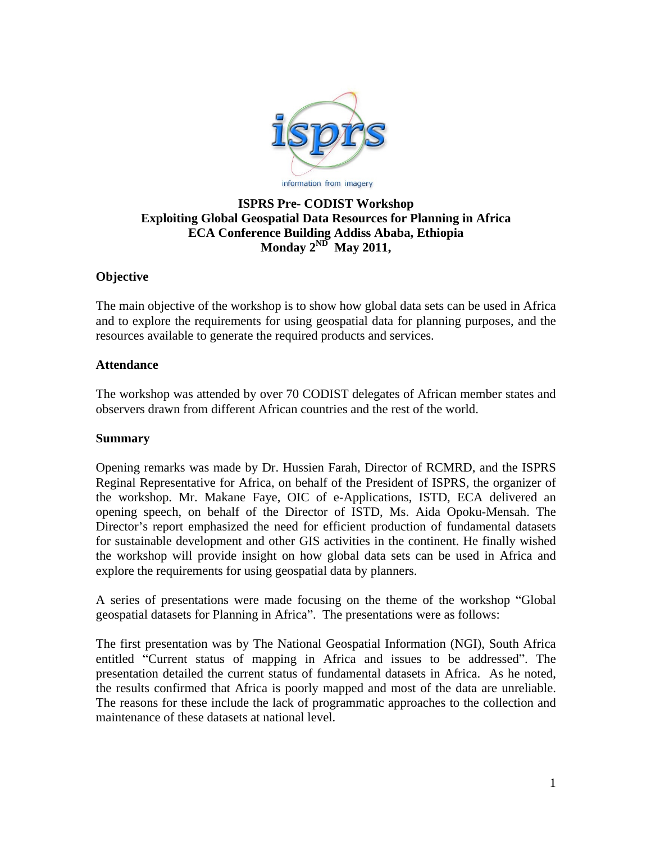

#### **ISPRS Pre- CODIST Workshop Exploiting Global Geospatial Data Resources for Planning in Africa ECA Conference Building Addiss Ababa, Ethiopia Monday 2ND May 2011,**

# **Objective**

The main objective of the workshop is to show how global data sets can be used in Africa and to explore the requirements for using geospatial data for planning purposes, and the resources available to generate the required products and services.

#### **Attendance**

The workshop was attended by over 70 CODIST delegates of African member states and observers drawn from different African countries and the rest of the world.

### **Summary**

Opening remarks was made by Dr. Hussien Farah, Director of RCMRD, and the ISPRS Reginal Representative for Africa, on behalf of the President of ISPRS, the organizer of the workshop. Mr. Makane Faye, OIC of e-Applications, ISTD, ECA delivered an opening speech, on behalf of the Director of ISTD, Ms. Aida Opoku-Mensah. The Director's report emphasized the need for efficient production of fundamental datasets for sustainable development and other GIS activities in the continent. He finally wished the workshop will provide insight on how global data sets can be used in Africa and explore the requirements for using geospatial data by planners.

A series of presentations were made focusing on the theme of the workshop "Global" geospatial datasets for Planning in Africa". The presentations were as follows:

The first presentation was by The National Geospatial Information (NGI), South Africa entitled "Current status of mapping in Africa and issues to be addressed". The presentation detailed the current status of fundamental datasets in Africa. As he noted, the results confirmed that Africa is poorly mapped and most of the data are unreliable. The reasons for these include the lack of programmatic approaches to the collection and maintenance of these datasets at national level.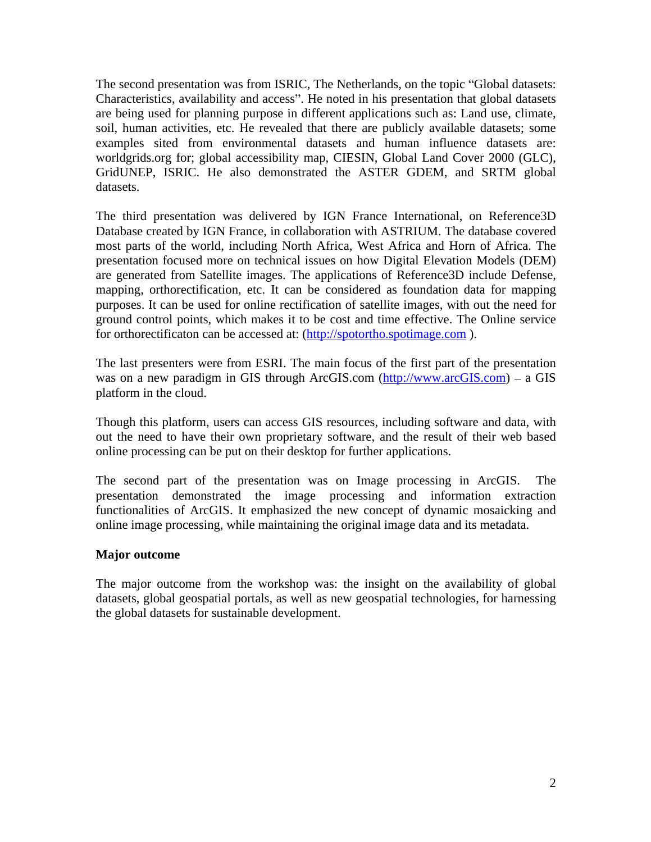The second presentation was from ISRIC, The Netherlands, on the topic "Global datasets: Characteristics, availability and access". He noted in his presentation that global datasets are being used for planning purpose in different applications such as: Land use, climate, soil, human activities, etc. He revealed that there are publicly available datasets; some examples sited from environmental datasets and human influence datasets are: worldgrids.org for; global accessibility map, CIESIN, Global Land Cover 2000 (GLC), GridUNEP, ISRIC. He also demonstrated the ASTER GDEM, and SRTM global datasets.

The third presentation was delivered by IGN France International, on Reference3D Database created by IGN France, in collaboration with ASTRIUM. The database covered most parts of the world, including North Africa, West Africa and Horn of Africa. The presentation focused more on technical issues on how Digital Elevation Models (DEM) are generated from Satellite images. The applications of Reference3D include Defense, mapping, orthorectification, etc. It can be considered as foundation data for mapping purposes. It can be used for online rectification of satellite images, with out the need for ground control points, which makes it to be cost and time effective. The Online service for orthorectificaton can be accessed at: (http://spotortho.spotimage.com ).

The last presenters were from ESRI. The main focus of the first part of the presentation was on a new paradigm in GIS through ArcGIS.com  $\frac{http://www.archive.com)}-a$  GIS platform in the cloud.

Though this platform, users can access GIS resources, including software and data, with out the need to have their own proprietary software, and the result of their web based online processing can be put on their desktop for further applications.

The second part of the presentation was on Image processing in ArcGIS. The presentation demonstrated the image processing and information extraction functionalities of ArcGIS. It emphasized the new concept of dynamic mosaicking and online image processing, while maintaining the original image data and its metadata.

# **Major outcome**

The major outcome from the workshop was: the insight on the availability of global datasets, global geospatial portals, as well as new geospatial technologies, for harnessing the global datasets for sustainable development.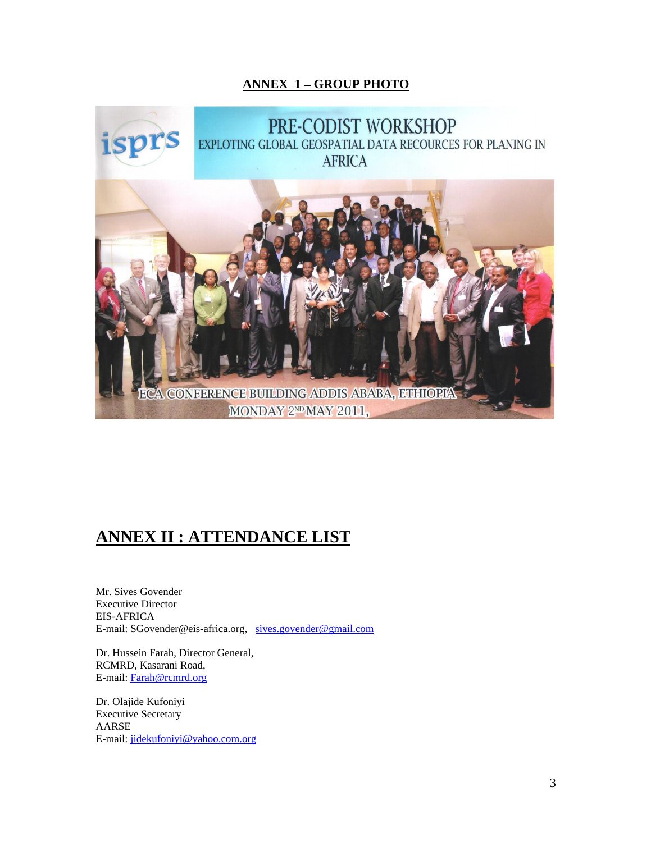## **ANNEX 1 GROUP PHOTO**



# **ANNEX II : ATTENDANCE LIST**

Mr. Sives Govender Executive Director EIS-AFRICA E-mail: SGovender@eis-africa.org, sives.govender@gmail.com

Dr. Hussein Farah, Director General, RCMRD, Kasarani Road, E-mail: Farah@rcmrd.org

Dr. Olajide Kufoniyi Executive Secretary<br>AARSE AARSE E-mail: jidekufoniyi@yahoo.com.org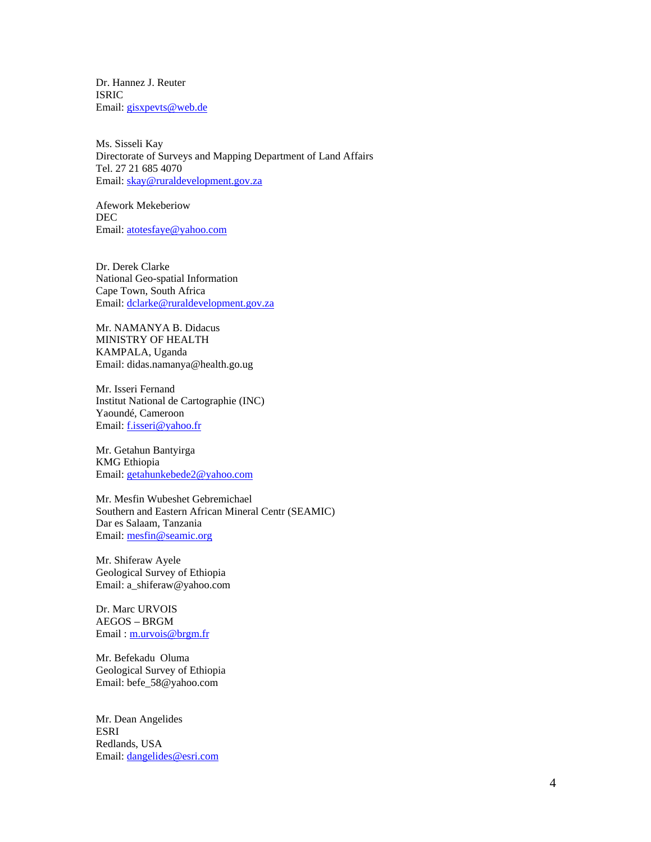Dr. Hannez J. Reuter ISRIC Email: gisxpevts@web.de

Ms. Sisseli Kay Directorate of Surveys and Mapping Department of Land Affairs Tel. 27 21 685 4070 Email: skay@ruraldevelopment.gov.za

Afework Mekeberiow **DEC** and the contract of the contract of the contract of the contract of the contract of the contract of the contract of the contract of the contract of the contract of the contract of the contract of the contract of the Email: <u>atotesfaye@yahoo.com</u>

Dr. Derek Clarke National Geo-spatial Information Cape Town, South Africa Email: dclarke@ruraldevelopment.gov.za

Mr. NAMANYA B. Didacus MINISTRY OF HEALTH KAMPALA, Uganda Email: didas.namanya@health.go.ug

Mr. Isseri Fernand Institut National de Cartographie (INC) Yaoundé, Cameroon Email: f.isseri@yahoo.fr

Mr. Getahun Bantyirga KMG Ethiopia Email: <u>getahunkebede2@yahoo.com</u>

Mr. Mesfin Wubeshet Gebremichael Southern and Eastern African Mineral Centr (SEAMIC) Dar es Salaam, Tanzania Email: mesfin@seamic.org

Mr. Shiferaw Ayele Geological Survey of Ethiopia Email: a\_shiferaw@yahoo.com

Dr. Marc URVOIS AEGOS – BRGM and the state of the state of the state of the state of the state of the state of the state of the state of the state of the state of the state of the state of the state of the state of the state of the state Email : m.urvois@brgm.fr

Mr. Befekadu Oluma Geological Survey of Ethiopia Email: befe\_58@yahoo.com

Mr. Dean Angelides ESRI Redlands, USA Email: dangelides@esri.com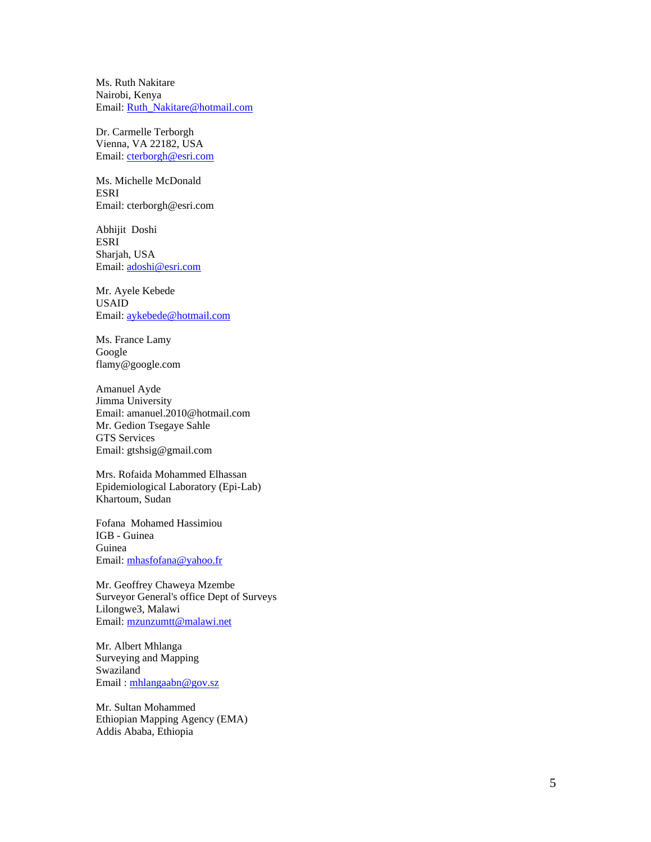Ms. Ruth Nakitare Nairobi, Kenya Email: Ruth\_Nakitare@hotmail.com

Dr. Carmelle Terborgh Vienna, VA 22182, USA Email: cterborgh@esri.com

Ms. Michelle McDonald ESRI Email: cterborgh@esri.com

Abhijit Doshi ESRI Sharjah, USA Email: adoshi@esri.com

Mr. Ayele Kebede USAID Email: <u>aykebede@hotmail.com</u>

Ms. France Lamy Google flamy@google.com

Amanuel Ayde Jimma University Email: amanuel.2010@hotmail.com Mr. Gedion Tsegaye Sahle GTS Services Email: gtshsig@gmail.com

Mrs. Rofaida Mohammed Elhassan Epidemiological Laboratory (Epi-Lab) Khartoum, Sudan

Fofana Mohamed Hassimiou IGB - Guinea Guinea Email: mhasfofana@yahoo.fr

Mr. Geoffrey Chaweya Mzembe Surveyor General's office Dept of Surveys Lilongwe3, Malawi Email: mzunzumtt@malawi.net

Mr. Albert Mhlanga Surveying and Mapping Swaziland Email : mhlangaabn@gov.sz

Mr. Sultan Mohammed Ethiopian Mapping Agency (EMA) Addis Ababa, Ethiopia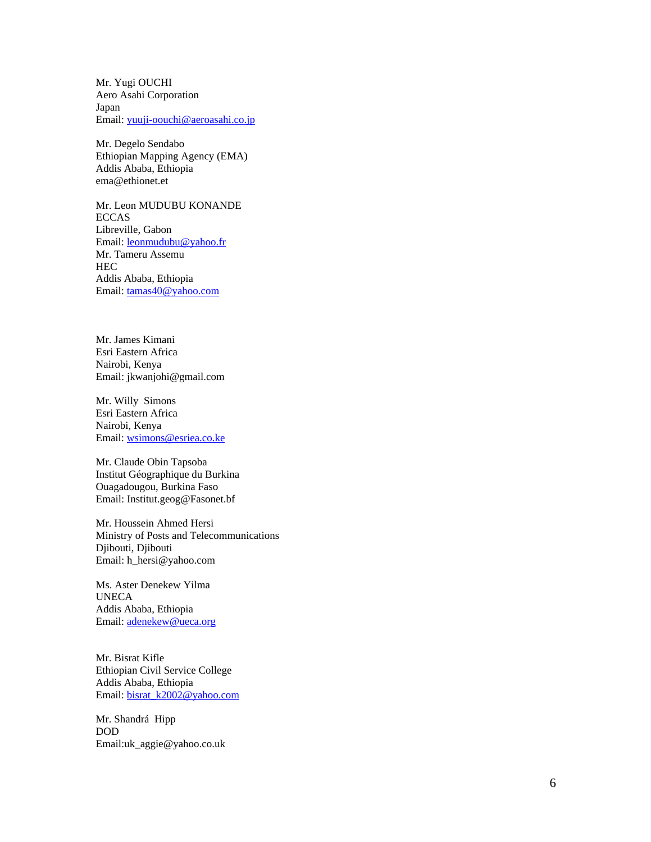Mr. Yugi OUCHI Aero Asahi Corporation Japan Email: yuuji-oouchi@aeroasahi.co.jp

Mr. Degelo Sendabo Ethiopian Mapping Agency (EMA) Addis Ababa, Ethiopia ema@ethionet.et

Mr. Leon MUDUBU KONANDE ECCAS Libreville, Gabon Email: leonmudubu@yahoo.fr Mr. Tameru Assemu HECTER THE STATE OF THE STATE OF THE STATE OF THE STATE OF THE STATE OF THE STATE OF THE STATE OF THE STATE OF Addis Ababa, Ethiopia Email: tamas40@yahoo.com

Mr. James Kimani Esri Eastern Africa Nairobi, Kenya Email: jkwanjohi@gmail.com

Mr. Willy Simons Esri Eastern Africa Nairobi, Kenya Email: wsimons@esriea.co.ke

Mr. Claude Obin Tapsoba Institut Géographique du Burkina Ouagadougou, Burkina Faso Email: Institut.geog@Fasonet.bf

Mr. Houssein Ahmed Hersi Ministry of Posts and Telecommunications Djibouti, Djibouti<br>Email: h hersi@yahoo.com Email: h\_hersi@yahoo.com

Ms. Aster Denekew Yilma UNECA **Example 2008** Addis Ababa, Ethiopia Email: adenekew@ueca.org

Mr. Bisrat Kifle Ethiopian Civil Service College Addis Ababa, Ethiopia Email: bisrat\_k2002@yahoo.com

Mr. Shandrá Hipp DOD Email:uk\_aggie@yahoo.co.uk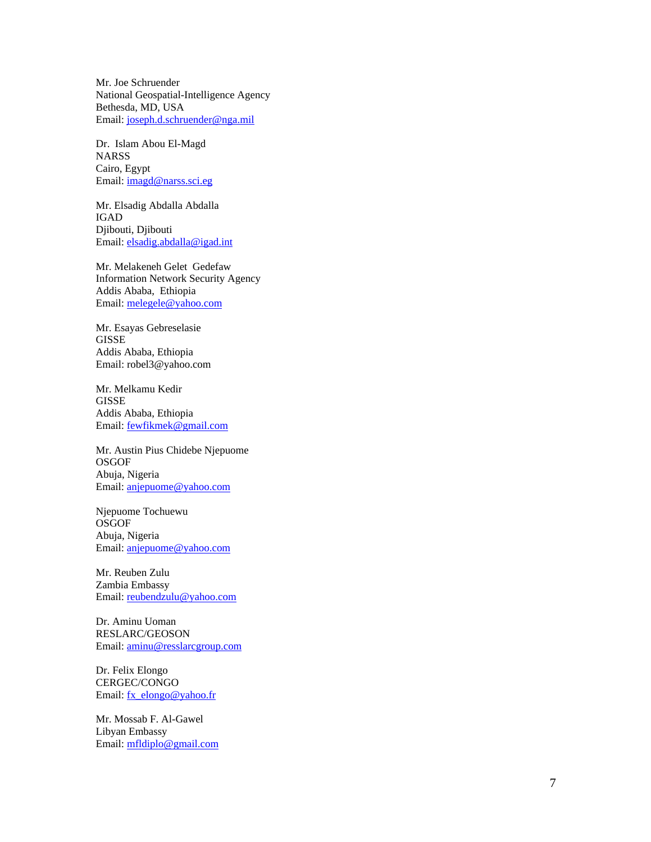Mr. Joe Schruender National Geospatial-Intelligence Agency Bethesda, MD, USA Email: joseph.d.schruender@nga.mil

Dr. Islam Abou El-Magd NARSS Cairo, Egypt Email: imagd@narss.sci.eg

Mr. Elsadig Abdalla Abdalla IGAD Djibouti, Djibouti Email: elsadig.abdalla@igad.int

Mr. Melakeneh Gelet Gedefaw Information Network Security Agency<br>Addis Ababa, Ethiopia Addis Ababa, Ethiopia Email: melegele@yahoo.com

Mr. Esayas Gebreselasie GISSE **GISSE** Addis Ababa, Ethiopia Email: robel3@yahoo.com

Mr. Melkamu Kedir GISSE **GISSE** Addis Ababa, Ethiopia Email: fewfikmek@gmail.com

Mr. Austin Pius Chidebe Njepuome **OSGOF** Abuja, Nigeria Email: <u>anjepuome@yahoo.com</u>

Njepuome Tochuewu **OSGOF** Abuja, Nigeria Email: <u>anjepuome@yahoo.com</u>

Mr. Reuben Zulu Zambia Embassy Email: reubendzulu@yahoo.com

Dr. Aminu Uoman RESLARC/GEOSON Email: <u>aminu@resslarcgroup.com</u>

Dr. Felix Elongo CERGEC/CONGO Email: fx\_elongo@yahoo.fr

Mr. Mossab F. Al-Gawel Libyan Embassy Email: mfldiplo@gmail.com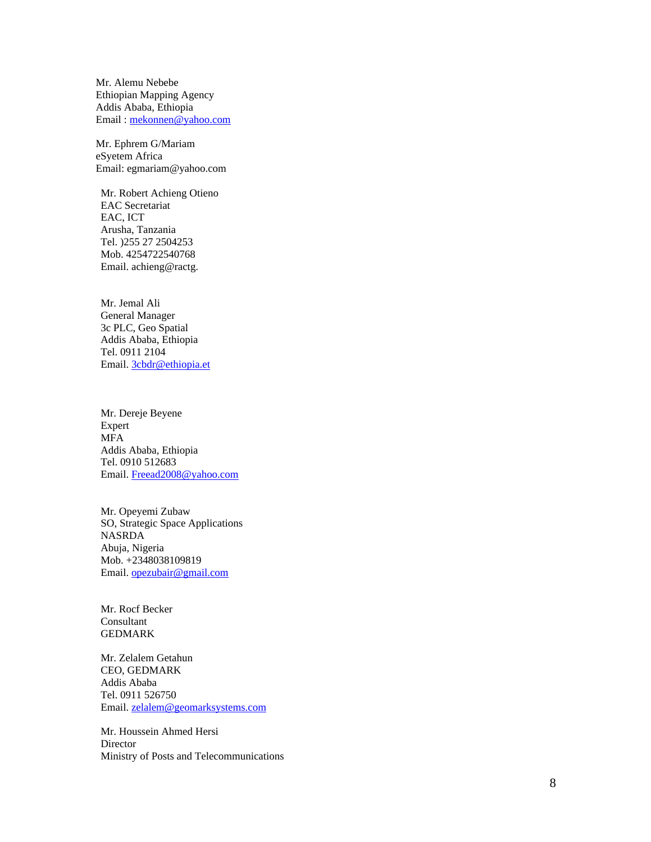Mr. Alemu Nebebe Ethiopian Mapping Agency Addis Ababa, Ethiopia Email : mekonnen@yahoo.com

Mr. Ephrem G/Mariam eSyetem Africa Email: egmariam@yahoo.com

Mr. Robert Achieng Otieno EAC Secretariat<br>EAC, ICT EAC, ICT Arusha, Tanzania Tel. )255 27 2504253 Mob. 4254722540768 Email. achieng@ractg.

Mr. Jemal Ali General Manager 3c PLC, Geo Spatial Addis Ababa, Ethiopia Tel. 0911 2104 Email. 3cbdr@ethiopia.et

Mr. Dereje Beyene Expert and the contract of the contract of the contract of the contract of the contract of the contract of the contract of the contract of the contract of the contract of the contract of the contract of the contract of the MFA Addis Ababa, Ethiopia Tel. 0910 512683 Email. Freead2008@yahoo.com

Mr. Opeyemi Zubaw SO, Strategic Space Applications NASRDA Abuja, Nigeria Mob. +2348038109819 Email. opezubair@gmail.com **community and community of the community of the community of the community of the community of the community of the community of the community of the community of the community of the community** 

Mr. Rocf Becker **Consultant** consultant consultant consultant consultant consultant consultant consultant consultant consultant GEDMARK

Mr. Zelalem Getahun CEO, GEDMARK Addis Ababa Tel. 0911 526750 Email. <u>zelalem@geomarksystems.com</u>

Mr. Houssein Ahmed Hersi Director **Director** Ministry of Posts and Telecommunications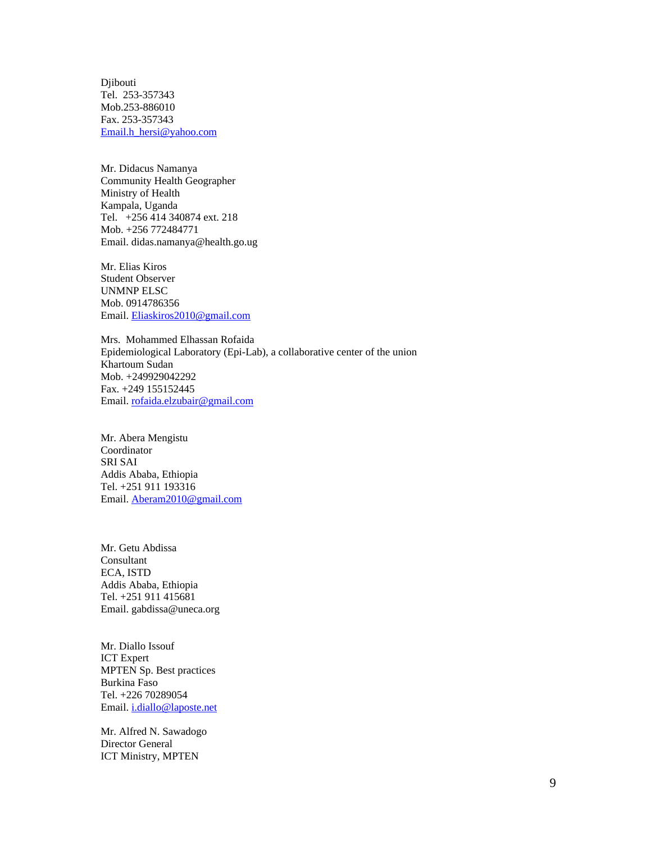Djibouti Tel. 253-357343 Mob.253-886010 Fax. 253-357343 Email.h\_hersi@yahoo.com

Mr. Didacus Namanya Community Health Geographer Ministry of Health Kampala, Uganda Tel. +256 414 340874 ext. 218 Mob. +256 772484771 Email. didas.namanya@health.go.ug

Mr. Elias Kiros Student Observer UNMNP ELSC Mob. 0914786356 Email. Eliaskiros2010@gmail.com

Mrs. Mohammed Elhassan Rofaida Epidemiological Laboratory (Epi-Lab), a collaborative center of the union Khartoum Sudan Mob. +249929042292 Fax. +249 155152445 Email. rofaida.elzubair@gmail.com

Mr. Abera Mengistu Coordinator SRI SAI Addis Ababa, Ethiopia Tel. +251 911 193316 Email. <u>Aberam2010@gmail.com</u> et al. aber al. aber al. aber al. aber al. aber al. aber al. aber al. aber al. aber al. aber al. aber al. aber al. aber al. aber al. aber al. aber al. aber al. aber al. aber al. aber al. aber

Mr. Getu Abdissa **Consultant** ECA, ISTD Addis Ababa, Ethiopia Tel. +251 911 415681 Email. gabdissa@uneca.org

Mr. Diallo Issouf ICT Expert MPTEN Sp. Best practices Burkina Faso Tel. +226 70289054 Email. i.diallo@laposte.net

Mr. Alfred N. Sawadogo Director General ICT Ministry, MPTEN